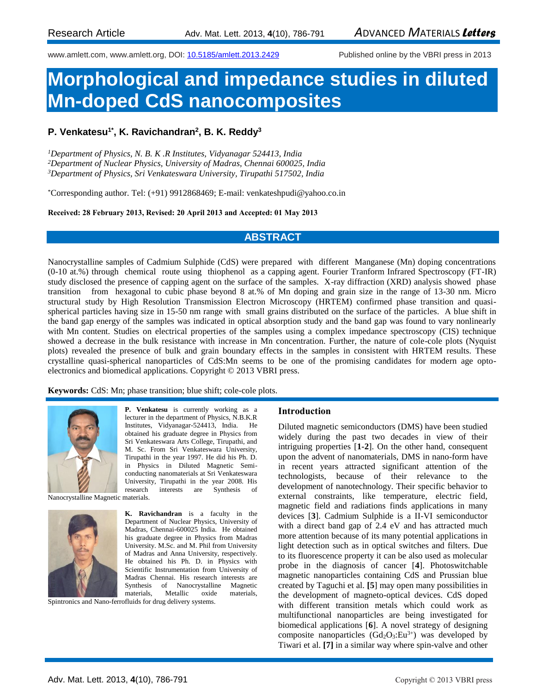www.amlett.com, www.amlett.org, DOI[: 10.5185/amlett.2013.2429](http://dx.doi.org/10.5185/amlett.2013.2429) Published online by the VBRI press in 2013

# **Morphological and impedance studies in diluted Mn-doped CdS nanocomposites**

## **P. Venkatesu1\*, K. Ravichandran<sup>2</sup> , B. K. Reddy<sup>3</sup>**

*<sup>1</sup>Department of Physics, N. B. K .R Institutes, Vidyanagar 524413, India <sup>2</sup>Department of Nuclear Physics, University of Madras, Chennai 600025, India <sup>3</sup>Department of Physics, Sri Venkateswara University, Tirupathi 517502, India*

\*Corresponding author. Tel: (+91) 9912868469; E-mail: venkateshpudi@yahoo.co.in

**Received: 28 February 2013, Revised: 20 April 2013 and Accepted: 01 May 2013**

## **ABSTRACT**

Nanocrystalline samples of Cadmium Sulphide (CdS) were prepared with different Manganese (Mn) doping concentrations (0-10 at.%) through chemical route using thiophenol as a capping agent. Fourier Tranform Infrared Spectroscopy (FT-IR) study disclosed the presence of capping agent on the surface of the samples. X-ray diffraction (XRD) analysis showed phase transition from hexagonal to cubic phase beyond 8 at.% of Mn doping and grain size in the range of 13-30 nm. Micro structural study by High Resolution Transmission Electron Microscopy (HRTEM) confirmed phase transition and quasispherical particles having size in 15-50 nm range with small grains distributed on the surface of the particles. A blue shift in the band gap energy of the samples was indicated in optical absorption study and the band gap was found to vary nonlinearly with Mn content. Studies on electrical properties of the samples using a complex impedance spectroscopy (CIS) technique showed a decrease in the bulk resistance with increase in Mn concentration. Further, the nature of cole-cole plots (Nyquist plots) revealed the presence of bulk and grain boundary effects in the samples in consistent with HRTEM results. These crystalline quasi-spherical nanoparticles of CdS:Mn seems to be one of the promising candidates for modern age optoelectronics and biomedical applications. Copyright © 2013 VBRI press.

**Keywords:** CdS: Mn; phase transition; blue shift; cole-cole plots.



**P. Venkatesu** is currently working as a lecturer in the department of Physics, N.B.K.R Institutes, Vidyanagar-524413, India. He obtained his graduate degree in Physics from Sri Venkateswara Arts College, Tirupathi, and M. Sc. From Sri Venkateswara University, Tirupathi in the year 1997. He did his Ph. D. in Physics in Diluted Magnetic Semiconducting nanomaterials at Sri Venkateswara University, Tirupathi in the year 2008. His research interests are Synthesis of

Nanocrystalline Magnetic materials.



**K. Ravichandran** is a faculty in the Department of Nuclear Physics, University of Madras, Chennai-600025 India. He obtained his graduate degree in Physics from Madras University. M.Sc. and M. Phil from University of Madras and Anna University, respectively. He obtained his Ph. D. in Physics with Scientific Instrumentation from University of Madras Chennai. His research interests are Synthesis of Nanocrystalline Magnetic materials, Metallic oxide materials,

Spintronics and Nano-ferrofluids for drug delivery systems.

#### **Introduction**

Diluted magnetic semiconductors (DMS) have been studied widely during the past two decades in view of their intriguing properties [**1-2**]. On the other hand, consequent upon the advent of nanomaterials, DMS in nano-form have in recent years attracted significant attention of the technologists, because of their relevance to the development of nanotechnology. Their specific behavior to external constraints, like temperature, electric field, magnetic field and radiations finds applications in many devices [**3**]. Cadmium Sulphide is a II-VI semiconductor with a direct band gap of 2.4 eV and has attracted much more attention because of its many potential applications in light detection such as in optical switches and filters. Due to its fluorescence property it can be also used as molecular probe in the diagnosis of cancer [**4**]. Photoswitchable magnetic nanoparticles containing CdS and Prussian blue created by Taguchi et al. **[5**] may open many possibilities in the development of magneto-optical devices. CdS doped with different transition metals which could work as multifunctional nanoparticles are being investigated for biomedical applications [**6**]. A novel strategy of designing composite nanoparticles  $(\text{Gd}_2\text{O}_3: \text{Eu}^{3+})$  was developed by Tiwari et al. **[7]** in a similar way where spin-valve and other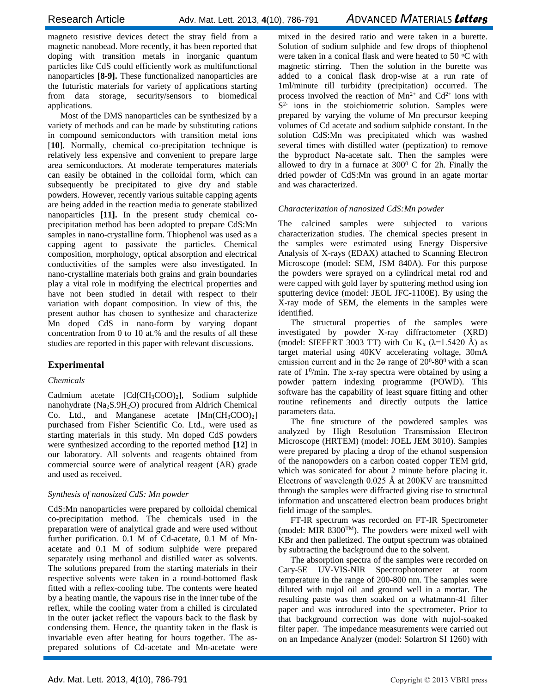magneto resistive devices detect the stray field from a magnetic nanobead. More recently, it has been reported that doping with transition metals in inorganic quantum particles like CdS could efficiently work as multifunctional nanoparticles **[8-9].** These functionalized nanoparticles are the futuristic materials for variety of applications starting from data storage, security/sensors to biomedical applications.

Most of the DMS nanoparticles can be synthesized by a variety of methods and can be made by substituting cations in compound semiconductors with transition metal ions [**10**]. Normally, chemical co-precipitation technique is relatively less expensive and convenient to prepare large area semiconductors. At moderate temperatures materials can easily be obtained in the colloidal form, which can subsequently be precipitated to give dry and stable powders. However, recently various suitable capping agents are being added in the reaction media to generate stabilized nanoparticles **[11].** In the present study chemical coprecipitation method has been adopted to prepare CdS:Mn samples in nano-crystalline form. Thiophenol was used as a capping agent to passivate the particles. Chemical composition, morphology, optical absorption and electrical conductivities of the samples were also investigated. In nano-crystalline materials both grains and grain boundaries play a vital role in modifying the electrical properties and have not been studied in detail with respect to their variation with dopant composition. In view of this, the present author has chosen to synthesize and characterize Mn doped CdS in nano-form by varying dopant concentration from 0 to 10 at.% and the results of all these studies are reported in this paper with relevant discussions.

# **Experimental**

### *Chemicals*

Cadmium acetate [Cd(CH3COO)2], Sodium sulphide nanohydrate (Na2S.9H2O) procured from Aldrich Chemical Co. Ltd., and Manganese acetate [Mn(CH3COO)2] purchased from Fisher Scientific Co. Ltd., were used as starting materials in this study. Mn doped CdS powders were synthesized according to the reported method **[12**] in our laboratory. All solvents and reagents obtained from commercial source were of analytical reagent (AR) grade and used as received.

## *Synthesis of nanosized CdS: Mn powder*

CdS:Mn nanoparticles were prepared by colloidal chemical co-precipitation method. The chemicals used in the preparation were of analytical grade and were used without further purification. 0.1 M of Cd-acetate, 0.1 M of Mnacetate and 0.1 M of sodium sulphide were prepared separately using methanol and distilled water as solvents. The solutions prepared from the starting materials in their respective solvents were taken in a round-bottomed flask fitted with a reflex-cooling tube. The contents were heated by a heating mantle, the vapours rise in the inner tube of the reflex, while the cooling water from a chilled is circulated in the outer jacket reflect the vapours back to the flask by condensing them. Hence, the quantity taken in the flask is invariable even after heating for hours together. The asprepared solutions of Cd-acetate and Mn-acetate were

mixed in the desired ratio and were taken in a burette. Solution of sodium sulphide and few drops of thiophenol were taken in a conical flask and were heated to 50  $\mathrm{^{\circ}C}$  with magnetic stirring. Then the solution in the burette was added to a conical flask drop-wise at a run rate of 1ml/minute till turbidity (precipitation) occurred. The process involved the reaction of  $Mn^{2+}$  and  $Cd^{2+}$  ions with S<sup>2</sup> ions in the stoichiometric solution. Samples were prepared by varying the volume of Mn precursor keeping volumes of Cd acetate and sodium sulphide constant. In the solution CdS:Mn was precipitated which was washed several times with distilled water (peptization) to remove the byproduct Na-acetate salt. Then the samples were allowed to dry in a furnace at  $300^{\circ}$  C for 2h. Finally the dried powder of CdS:Mn was ground in an agate mortar and was characterized.

## *Characterization of nanosized CdS:Mn powder*

The calcined samples were subjected to various characterization studies. The chemical species present in the samples were estimated using Energy Dispersive Analysis of X-rays (EDAX) attached to Scanning Electron Microscope (model: SEM, JSM 840A). For this purpose the powders were sprayed on a cylindrical metal rod and were capped with gold layer by sputtering method using ion sputtering device (model: JEOL JFC-1100E). By using the X-ray mode of SEM, the elements in the samples were identified.

The structural properties of the samples were investigated by powder X-ray diffractometer (XRD) (model: SIEFERT 3003 TT) with Cu K<sub>a</sub> ( $\lambda$ =1.5420 Å) as target material using 40KV accelerating voltage, 30mA emission current and in the 2 $\theta$  range of 20<sup>0</sup>-80<sup>0</sup> with a scan rate of 1<sup>0</sup>/min. The x-ray spectra were obtained by using a powder pattern indexing programme (POWD). This software has the capability of least square fitting and other routine refinements and directly outputs the lattice parameters data.

The fine structure of the powdered samples was analyzed by High Resolution Transmission Electron Microscope (HRTEM) (model: JOEL JEM 3010). Samples were prepared by placing a drop of the ethanol suspension of the nanopowders on a carbon coated copper TEM grid, which was sonicated for about 2 minute before placing it. Electrons of wavelength  $0.025$  Å at 200KV are transmitted through the samples were diffracted giving rise to structural information and unscattered electron beam produces bright field image of the samples.

FT-IR spectrum was recorded on FT-IR Spectrometer (model: MIR 8300TM). The powders were mixed well with KBr and then palletized. The output spectrum was obtained by subtracting the background due to the solvent.

The absorption spectra of the samples were recorded on Cary-5E UV-VIS-NIR Spectrophotometer at room temperature in the range of 200-800 nm. The samples were diluted with nujol oil and ground well in a mortar. The resulting paste was then soaked on a whatmann-41 filter paper and was introduced into the spectrometer. Prior to that background correction was done with nujol-soaked filter paper. The impedance measurements were carried out on an Impedance Analyzer (model: Solartron SI 1260) with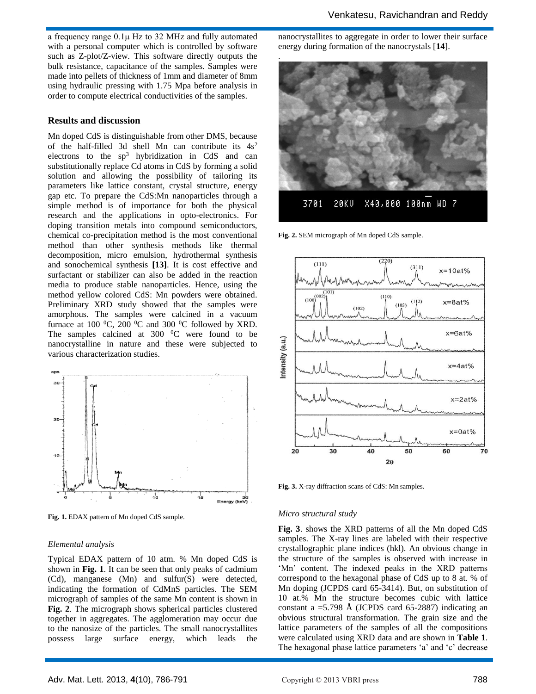a frequency range 0.1μ Hz to 32 MHz and fully automated with a personal computer which is controlled by software such as Z-plot/Z-view. This software directly outputs the bulk resistance, capacitance of the samples. Samples were made into pellets of thickness of 1mm and diameter of 8mm using hydraulic pressing with 1.75 Mpa before analysis in order to compute electrical conductivities of the samples.

#### **Results and discussion**

Mn doped CdS is distinguishable from other DMS, because of the half-filled 3d shell Mn can contribute its  $4s^2$ electrons to the  $sp^3$  hybridization in CdS and can substitutionally replace Cd atoms in CdS by forming a solid solution and allowing the possibility of tailoring its parameters like lattice constant, crystal structure, energy gap etc. To prepare the CdS:Mn nanoparticles through a simple method is of importance for both the physical research and the applications in opto-electronics. For doping transition metals into compound semiconductors, chemical co-precipitation method is the most conventional method than other synthesis methods like thermal decomposition, micro emulsion, hydrothermal synthesis and sonochemical synthesis **[13]**. It is cost effective and surfactant or stabilizer can also be added in the reaction media to produce stable nanoparticles. Hence, using the method yellow colored CdS: Mn powders were obtained. Preliminary XRD study showed that the samples were amorphous. The samples were calcined in a vacuum furnace at 100  $^{\circ}$ C, 200  $^{\circ}$ C and 300  $^{\circ}$ C followed by XRD. The samples calcined at  $300 \degree$ C were found to be nanocrystalline in nature and these were subjected to various characterization studies.



**Fig. 1.** EDAX pattern of Mn doped CdS sample.

#### *Elemental analysis*

Typical EDAX pattern of 10 atm. % Mn doped CdS is shown in **Fig. 1**. It can be seen that only peaks of cadmium (Cd), manganese (Mn) and sulfur(S) were detected, indicating the formation of CdMnS particles. The SEM micrograph of samples of the same Mn content is shown in **Fig. 2**. The micrograph shows spherical particles clustered together in aggregates. The agglomeration may occur due to the nanosize of the particles. The small nanocrystallites possess large surface energy, which leads the

nanocrystallites to aggregate in order to lower their surface energy during formation of the nanocrystals [**14**].



**Fig. 2.** SEM micrograph of Mn doped CdS sample.



**Fig. 3.** X-ray diffraction scans of CdS: Mn samples.

#### *Micro structural study*

**Fig. 3**. shows the XRD patterns of all the Mn doped CdS samples. The X-ray lines are labeled with their respective crystallographic plane indices (hkl). An obvious change in the structure of the samples is observed with increase in 'Mn' content. The indexed peaks in the XRD patterns correspond to the hexagonal phase of CdS up to 8 at. % of Mn doping (JCPDS card 65-3414). But, on substitution of 10 at.% Mn the structure becomes cubic with lattice constant a  $=$  5.798 Å (JCPDS card 65-2887) indicating an obvious structural transformation. The grain size and the lattice parameters of the samples of all the compositions were calculated using XRD data and are shown in **Table 1**. The hexagonal phase lattice parameters 'a' and 'c' decrease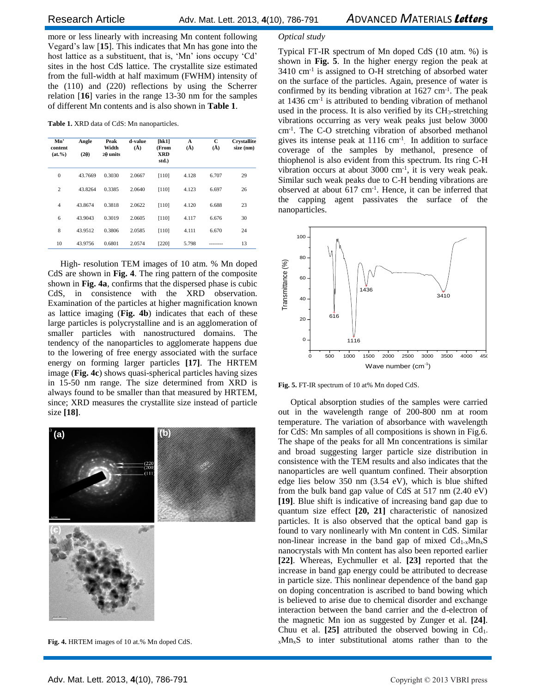more or less linearly with increasing Mn content following Vegard's law [**15**]. This indicates that Mn has gone into the host lattice as a substituent, that is, 'Mn' ions occupy 'Cd' sites in the host CdS lattice. The crystallite size estimated from the full-width at half maximum (FWHM) intensity of the (110) and (220) reflections by using the Scherrer relation [**16**] varies in the range 13-30 nm for the samples of different Mn contents and is also shown in **Table 1**.

**Table 1.** XRD data of CdS: Mn nanoparticles.

| Mn'<br>content<br>$(at. \% )$ | Angle<br>(20) | Peak<br>Width<br>$2\theta$ units | d-value<br>$(\AA)$ | [hk1]<br>(From<br>XRD<br>std.) | A<br>$(\check{A})$ | с<br>$(\check{A})$ | <b>Crystallite</b><br>size (nm) |
|-------------------------------|---------------|----------------------------------|--------------------|--------------------------------|--------------------|--------------------|---------------------------------|
| $\theta$                      | 43.7669       | 0.3030                           | 2.0667             | [110]                          | 4.128              | 6.707              | 29                              |
| $\overline{c}$                | 43.8264       | 0.3385                           | 2.0640             | $[110]$                        | 4.123              | 6.697              | 26                              |
| $\overline{4}$                | 43.8674       | 0.3818                           | 2.0622             | [110]                          | 4.120              | 6.688              | 23                              |
| 6                             | 43.9043       | 0.3019                           | 2.0605             | $[110]$                        | 4.117              | 6.676              | 30                              |
| 8                             | 43.9512       | 0.3806                           | 2.0585             | [110]                          | 4.111              | 6.670              | 24                              |
| 10                            | 43.9756       | 0.6801                           | 2.0574             | [220]                          | 5.798              |                    | 13                              |

High- resolution TEM images of 10 atm. % Mn doped CdS are shown in **Fig. 4**. The ring pattern of the composite shown in **Fig. 4a**, confirms that the dispersed phase is cubic CdS, in consistence with the XRD observation. Examination of the particles at higher magnification known as lattice imaging (**Fig. 4b**) indicates that each of these large particles is polycrystalline and is an agglomeration of smaller particles with nanostructured domains. The tendency of the nanoparticles to agglomerate happens due to the lowering of free energy associated with the surface energy on forming larger particles **[17]**. The HRTEM image (**Fig. 4c**) shows quasi-spherical particles having sizes in 15-50 nm range. The size determined from XRD is always found to be smaller than that measured by HRTEM, since; XRD measures the crystallite size instead of particle size **[18]**.



**Fig. 4.** HRTEM images of 10 at.% Mn doped CdS.

#### *Optical study*

Typical FT-IR spectrum of Mn doped CdS (10 atm. %) is shown in **Fig. 5**. In the higher energy region the peak at 3410 cm-1 is assigned to O-H stretching of absorbed water on the surface of the particles. Again, presence of water is confirmed by its bending vibration at 1627 cm-1 . The peak at 1436 cm-1 is attributed to bending vibration of methanol used in the process. It is also verified by its CH<sub>3</sub>-stretching vibrations occurring as very weak peaks just below 3000 cm-1 . The C-O stretching vibration of absorbed methanol gives its intense peak at 1116 cm-1 . In addition to surface coverage of the samples by methanol, presence of thiophenol is also evident from this spectrum. Its ring C-H vibration occurs at about 3000 cm-1 , it is very weak peak. Similar such weak peaks due to C-H bending vibrations are observed at about 617 cm-1 . Hence, it can be inferred that the capping agent passivates the surface of the nanoparticles.



**Fig. 5.** FT-IR spectrum of 10 at% Mn doped CdS.

Optical absorption studies of the samples were carried out in the wavelength range of 200-800 nm at room temperature. The variation of absorbance with wavelength for CdS: Mn samples of all compositions is shown in Fig.6. The shape of the peaks for all Mn concentrations is similar and broad suggesting larger particle size distribution in consistence with the TEM results and also indicates that the nanoparticles are well quantum confined. Their absorption edge lies below 350 nm (3.54 eV), which is blue shifted from the bulk band gap value of CdS at 517 nm (2.40 eV) **[19]**. Blue shift is indicative of increasing band gap due to quantum size effect **[20, 21]** characteristic of nanosized particles. It is also observed that the optical band gap is found to vary nonlinearly with Mn content in CdS. Similar non-linear increase in the band gap of mixed  $Cd_{1-x}Mn_xS$ nanocrystals with Mn content has also been reported earlier **[22]**. Whereas, Eychmuller et al. **[23]** reported that the increase in band gap energy could be attributed to decrease in particle size. This nonlinear dependence of the band gap on doping concentration is ascribed to band bowing which is believed to arise due to chemical disorder and exchange interaction between the band carrier and the d-electron of the magnetic Mn ion as suggested by Zunger et al. **[24]**. Chuu et al.  $[25]$  attributed the observed bowing in  $Cd<sub>1</sub>$ .  $x<sub>x</sub>Mn<sub>x</sub>S$  to inter substitutional atoms rather than to the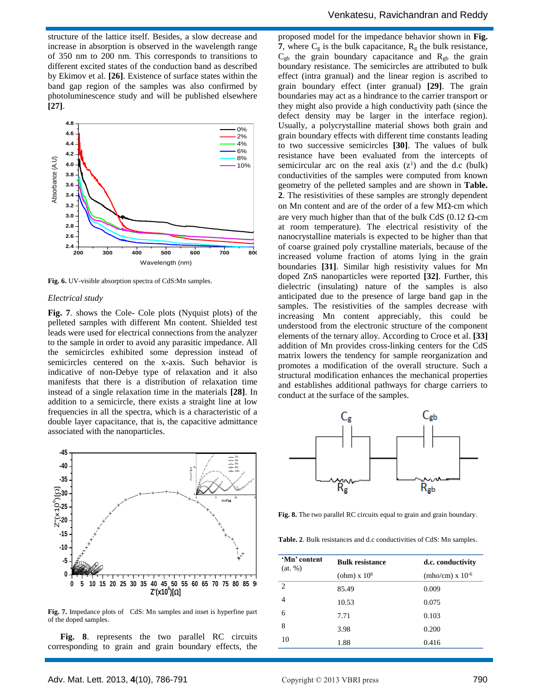structure of the lattice itself. Besides, a slow decrease and increase in absorption is observed in the wavelength range of 350 nm to 200 nm. This corresponds to transitions to different excited states of the conduction band as described by Ekimov et al. **[26]**. Existence of surface states within the band gap region of the samples was also confirmed by photoluminescence study and will be published elsewhere **[27]**.



**Fig. 6.** UV-visible absorption spectra of CdS:Mn samples.

#### *Electrical study*

**Fig. 7**. shows the Cole- Cole plots (Nyquist plots) of the pelleted samples with different Mn content. Shielded test leads were used for electrical connections from the analyzer to the sample in order to avoid any parasitic impedance. All the semicircles exhibited some depression instead of semicircles centered on the x-axis. Such behavior is indicative of non-Debye type of relaxation and it also manifests that there is a distribution of relaxation time instead of a single relaxation time in the materials **[28]**. In addition to a semicircle, there exists a straight line at low frequencies in all the spectra, which is a characteristic of a double layer capacitance, that is, the capacitive admittance associated with the nanoparticles.



**Fig. 7.** Impedance plots of CdS: Mn samples and inset is hyperfine part of the doped samples.

**Fig. 8**. represents the two parallel RC circuits corresponding to grain and grain boundary effects, the

 $\overline{0\%}$  Usually, a polycrystalline material shows both grain and 2% grain boundary effects with different time constants leading 4% to two successive semicircles **[30]**. The values of bulk  $\begin{bmatrix} 8\% \\ 8\% \end{bmatrix}$  resistance have been evaluated from the intercepts of 10% semicircular arc on the real axis  $(z<sup>1</sup>)$  and the d.c (bulk) proposed model for the impedance behavior shown in **Fig. 7**, where  $C_g$  is the bulk capacitance,  $R_g$  the bulk resistance,  $C_{gb}$  the grain boundary capacitance and  $R_{gb}$  the grain boundary resistance. The semicircles are attributed to bulk effect (intra granual) and the linear region is ascribed to grain boundary effect (inter granual) **[29]**. The grain boundaries may act as a hindrance to the carrier transport or they might also provide a high conductivity path (since the defect density may be larger in the interface region). conductivities of the samples were computed from known geometry of the pelleted samples and are shown in **Table. 2**. The resistivities of these samples are strongly dependent on Mn content and are of the order of a few  $M\Omega$ -cm which are very much higher than that of the bulk CdS (0.12  $\Omega$ -cm at room temperature). The electrical resistivity of the nanocrystalline materials is expected to be higher than that of coarse grained poly crystalline materials, because of the increased volume fraction of atoms lying in the grain boundaries **[31]**. Similar high resistivity values for Mn doped ZnS nanoparticles were reported **[32]**. Further, this dielectric (insulating) nature of the samples is also anticipated due to the presence of large band gap in the samples. The resistivities of the samples decrease with increasing Mn content appreciably, this could be understood from the electronic structure of the component elements of the ternary alloy. According to Croce et al. **[33]** addition of Mn provides cross-linking centers for the CdS matrix lowers the tendency for sample reorganization and promotes a modification of the overall structure. Such a structural modification enhances the mechanical properties and establishes additional pathways for charge carriers to conduct at the surface of the samples.



**Fig. 8.** The two parallel RC circuits equal to grain and grain boundary.

**Table. 2**. Bulk resistances and d.c conductivities of CdS: Mn samples.

| 'Mn' content<br>(at, %) | <b>Bulk resistance</b> | d.c. conductivity         |  |  |
|-------------------------|------------------------|---------------------------|--|--|
|                         | (ohm) $x 10^6$         | $(mho/cm) \times 10^{-6}$ |  |  |
| 2                       | 85.49                  | 0.009                     |  |  |
| 4                       | 10.53                  | 0.075                     |  |  |
| 6                       | 7.71                   | 0.103                     |  |  |
| 8                       | 3.98                   | 0.200                     |  |  |
| 10                      | 1.88                   | 0.416                     |  |  |